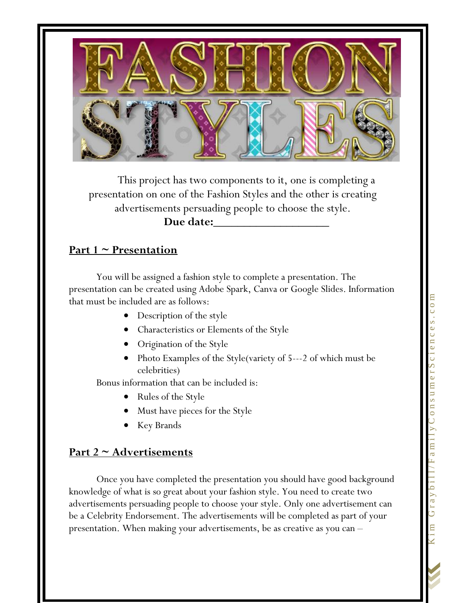

This project has two components to it, one is completing a presentation on one of the Fashion Styles and the other is creating advertisements persuading people to choose the style.

#### **Due date:\_\_\_\_\_\_\_\_\_\_\_\_\_\_\_\_\_\_\_**

## **Part 1 ~ Presentation**

You will be assigned a fashion style to complete a presentation. The presentation can be created using Adobe Spark, Canva or Google Slides. Information that must be included are as follows:

- Description of the style
- Characteristics or Elements of the Style
- Origination of the Style
- Photo Examples of the Style(variety of 5---2 of which must be celebrities)

Bonus information that can be included is:

- Rules of the Style
- Must have pieces for the Style
- Key Brands

# **Part 2 ~ Advertisements**

Once you have completed the presentation you should have good background knowledge of what is so great about your fashion style. You need to create two advertisements persuading people to choose your style. Only one advertisement can be a Celebrity Endorsement. The advertisements will be completed as part of your presentation. When making your advertisements, be as creative as you can –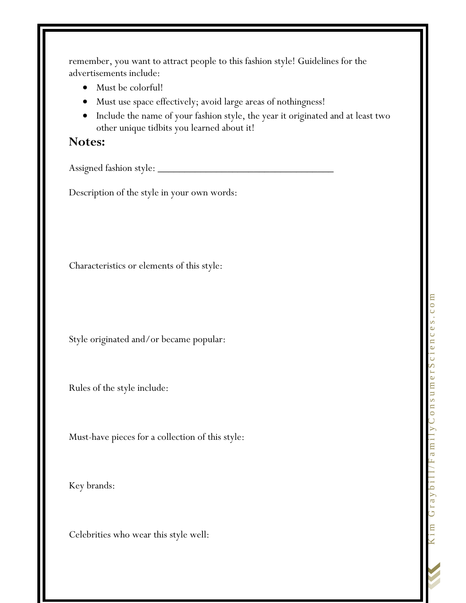remember, you want to attract people to this fashion style! Guidelines for the advertisements include:

- Must be colorful!
- Must use space effectively; avoid large areas of nothingness!
- Include the name of your fashion style, the year it originated and at least two other unique tidbits you learned about it!

### **Notes:**

Assigned fashion style: \_\_\_\_\_\_\_\_\_\_\_\_\_\_\_\_\_\_\_\_\_\_\_\_\_\_\_\_\_\_\_\_\_

Description of the style in your own words:

Characteristics or elements of this style:

Style originated and/or became popular:

Rules of the style include:

Must-have pieces for a collection of this style:

Key brands:

Celebrities who wear this style well: